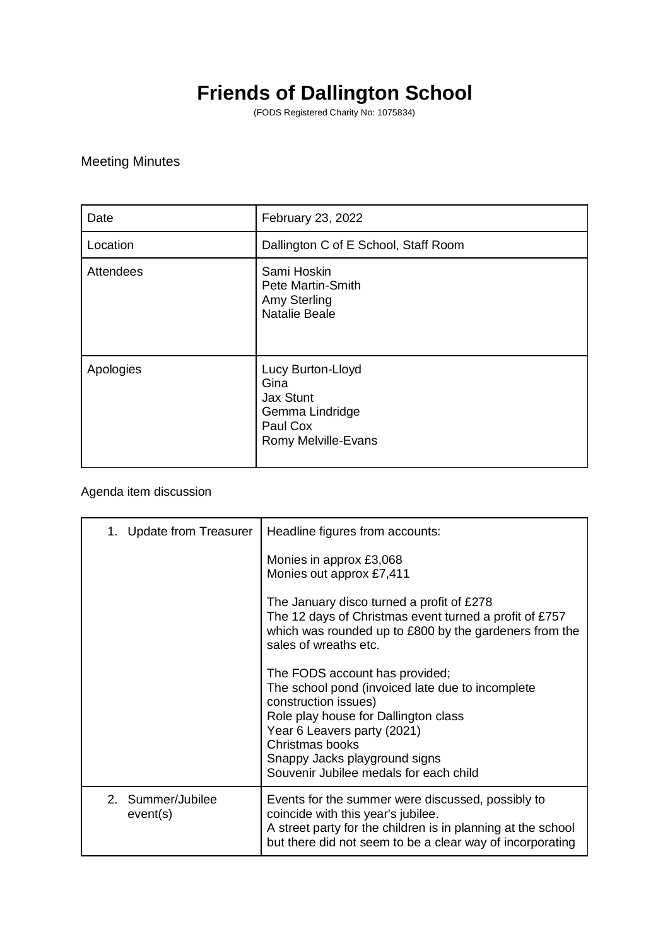## **Friends of Dallington School**

(FODS Registered Charity No: 1075834)

## Meeting Minutes

| Date      | February 23, 2022                                                                            |
|-----------|----------------------------------------------------------------------------------------------|
| Location  | Dallington C of E School, Staff Room                                                         |
| Attendees | Sami Hoskin<br>Pete Martin-Smith<br>Amy Sterling<br><b>Natalie Beale</b>                     |
| Apologies | Lucy Burton-Lloyd<br>Gina<br>Jax Stunt<br>Gemma Lindridge<br>Paul Cox<br>Romy Melville-Evans |

## Agenda item discussion

| 1. Update from Treasurer      | Headline figures from accounts:                                                                                                                                                                                                                                                 |
|-------------------------------|---------------------------------------------------------------------------------------------------------------------------------------------------------------------------------------------------------------------------------------------------------------------------------|
|                               | Monies in approx £3,068<br>Monies out approx £7,411                                                                                                                                                                                                                             |
|                               | The January disco turned a profit of £278<br>The 12 days of Christmas event turned a profit of £757<br>which was rounded up to £800 by the gardeners from the<br>sales of wreaths etc.                                                                                          |
|                               | The FODS account has provided;<br>The school pond (invoiced late due to incomplete<br>construction issues)<br>Role play house for Dallington class<br>Year 6 Leavers party (2021)<br>Christmas books<br>Snappy Jacks playground signs<br>Souvenir Jubilee medals for each child |
| 2. Summer/Jubilee<br>event(s) | Events for the summer were discussed, possibly to<br>coincide with this year's jubilee.<br>A street party for the children is in planning at the school<br>but there did not seem to be a clear way of incorporating                                                            |